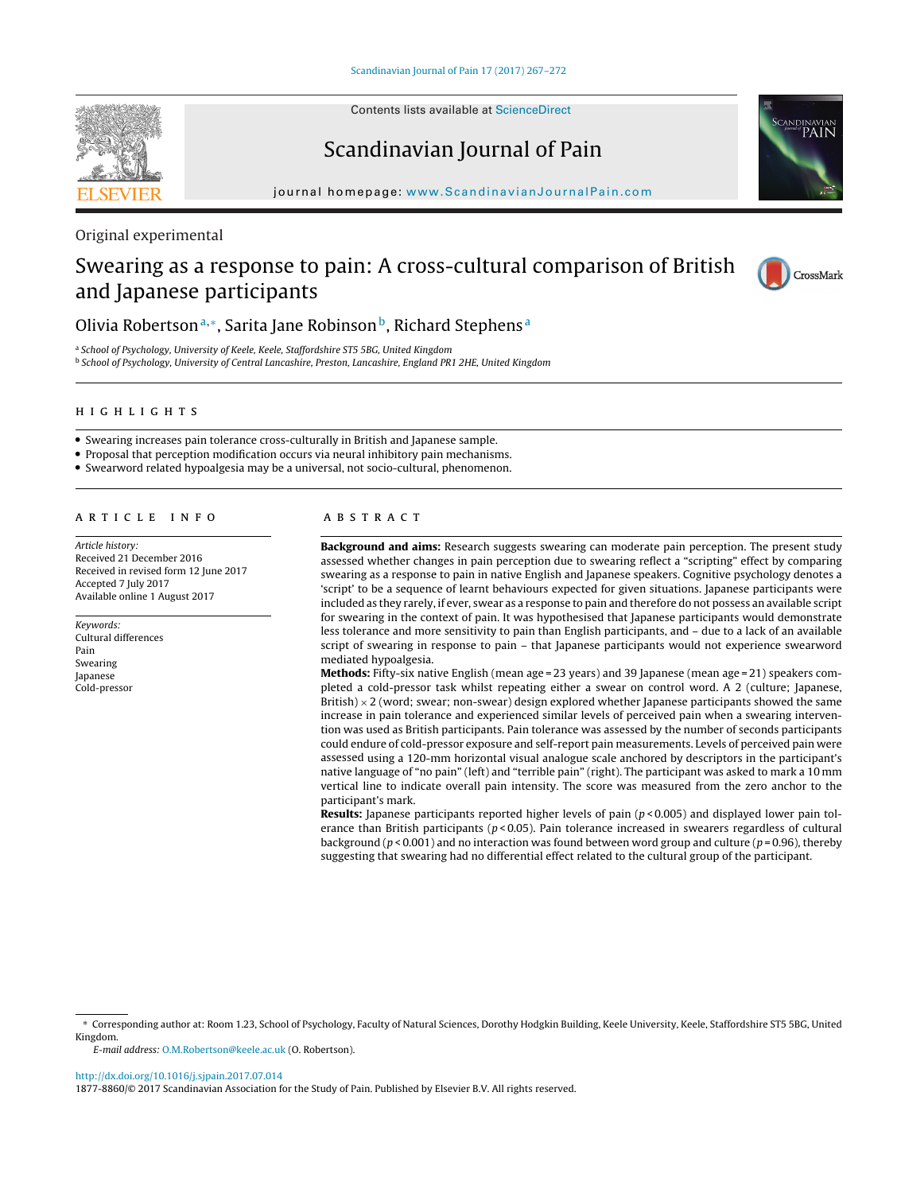SEVIEI

Contents lists available at [ScienceDirect](http://www.sciencedirect.com/science/journal/18778860)

# Scandinavian Journal of Pain



journal homepage: <www.ScandinavianJournalPain.com>

Original experimental

# Swearing as a response to pain: A cross-cultural comparison of British and Japanese participants



# Olivia Robertson<sup>a,∗</sup>, Sarita Jane Robinson<sup>b</sup>, Richard Stephens<sup>a</sup>

<sup>a</sup> School of Psychology, University of Keele, Keele, Staffordshire ST5 5BG, United Kingdom

<sup>b</sup> School of Psychology, University of Central Lancashire, Preston, Lancashire, England PR1 2HE, United Kingdom

### **HIGHLIGHTS**

• Swearing increases pain tolerance cross-culturally in British and Japanese sample.

• Proposal that perception modification occurs via neural inhibitory pain mechanisms.

• Swearword related hypoalgesia may be a universal, not socio-cultural, phenomenon.

#### ARTICLE INFO

Article history: Received 21 December 2016 Received in revised form 12 June 2017 Accepted 7 July 2017 Available online 1 August 2017

Keywords: Cultural differences Pain Swearing Japanese Cold-pressor

### ARSTRACT

**Background and aims:** Research suggests swearing can moderate pain perception. The present study assessed whether changes in pain perception due to swearing reflect a "scripting" effect by comparing swearing as a response to pain in native English and Japanese speakers. Cognitive psychology denotes a 'script' to be a sequence of learnt behaviours expected for given situations. Japanese participants were included as they rarely, if ever, swear as a response to pain and therefore do not possess an available script for swearing in the context of pain. It was hypothesised that Japanese participants would demonstrate less tolerance and more sensitivity to pain than English participants, and – due to a lack of an available script of swearing in response to pain – that Japanese participants would not experience swearword mediated hypoalgesia.

**Methods:** Fifty-six native English (mean age = 23 years) and 39 Japanese (mean age = 21) speakers completed a cold-pressor task whilst repeating either a swear on control word. A 2 (culture; Japanese, British)  $\times$  2 (word; swear; non-swear) design explored whether Japanese participants showed the same increase in pain tolerance and experienced similar levels of perceived pain when a swearing intervention was used as British participants. Pain tolerance was assessed by the number of seconds participants could endure of cold-pressor exposure and self-report pain measurements. Levels of perceived pain were assessed using a 120-mm horizontal visual analogue scale anchored by descriptors in the participant's native language of "no pain" (left) and "terrible pain" (right). The participant was asked to mark a 10 mm vertical line to indicate overall pain intensity. The score was measured from the zero anchor to the participant's mark.

**Results:** Japanese participants reported higher levels of pain ( $p$  < 0.005) and displayed lower pain tolerance than British participants ( $p$  < 0.05). Pain tolerance increased in swearers regardless of cultural background ( $p$  < 0.001) and no interaction was found between word group and culture ( $p$  = 0.96), thereby suggesting that swearing had no differential effect related to the cultural group of the participant.

E-mail address: [O.M.Robertson@keele.ac.uk](mailto:O.M.Robertson@keele.ac.uk) (O. Robertson).

[http://dx.doi.org/10.1016/j.sjpain.2017.07.014](dx.doi.org/10.1016/j.sjpain.2017.07.014)

<sup>∗</sup> Corresponding author at: Room 1.23, School of Psychology, Faculty of Natural Sciences, Dorothy Hodgkin Building, Keele University, Keele, Staffordshire ST5 5BG, United Kingdom.

<sup>1877-8860/©</sup> 2017 Scandinavian Association for the Study of Pain. Published by Elsevier B.V. All rights reserved.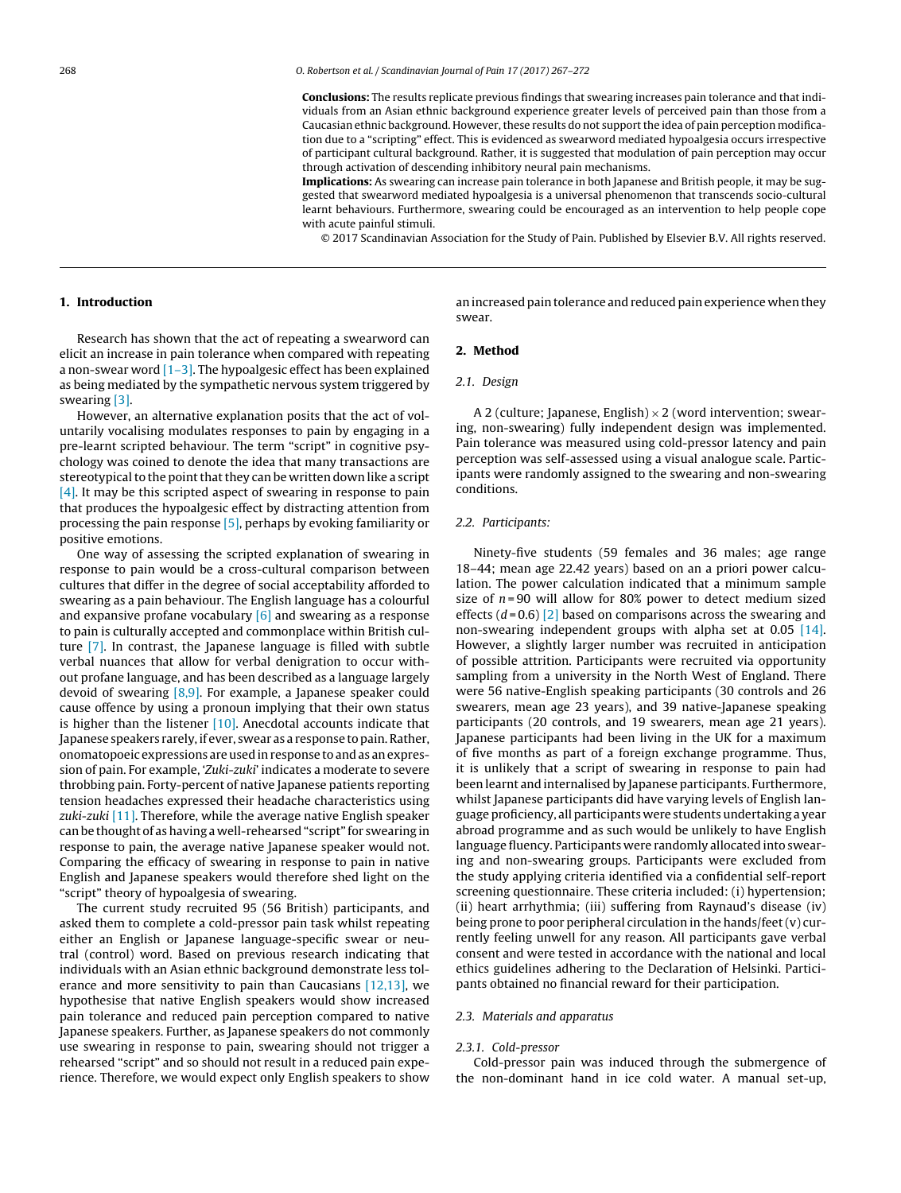**Conclusions:** The results replicate previous findings that swearing increases pain tolerance and that individuals from an Asian ethnic background experience greater levels of perceived pain than those from a Caucasian ethnic background. However, these results do not support the idea of pain perception modification due to a "scripting" effect. This is evidenced as swearword mediated hypoalgesia occurs irrespective of participant cultural background. Rather, it is suggested that modulation of pain perception may occur through activation of descending inhibitory neural pain mechanisms.

**Implications:** As swearing can increase pain tolerance in both Japanese and British people, it may be suggested that swearword mediated hypoalgesia is a universal phenomenon that transcends socio-cultural learnt behaviours. Furthermore, swearing could be encouraged as an intervention to help people cope with acute painful stimuli.

© 2017 Scandinavian Association for the Study of Pain. Published by Elsevier B.V. All rights reserved.

#### **1. Introduction**

Research has shown that the act of repeating a swearword can elicit an increase in pain tolerance when compared with repeating a non-swear word  $[1-3]$ . The hypoalgesic effect has been explained as being mediated by the sympathetic nervous system triggered by swearing [\[3\].](#page-4-0)

However, an alternative explanation posits that the act of voluntarily vocalising modulates responses to pain by engaging in a pre-learnt scripted behaviour. The term "script" in cognitive psychology was coined to denote the idea that many transactions are stereotypical to the point that they can be written down like a script  $[4]$ . It may be this scripted aspect of swearing in response to pain that produces the hypoalgesic effect by distracting attention from processing the pain response [\[5\],](#page-4-0) perhaps by evoking familiarity or positive emotions.

One way of assessing the scripted explanation of swearing in response to pain would be a cross-cultural comparison between cultures that differ in the degree of social acceptability afforded to swearing as a pain behaviour. The English language has a colourful and expansive profane vocabulary  $[6]$  and swearing as a response to pain is culturally accepted and commonplace within British culture [\[7\].](#page-4-0) In contrast, the Japanese language is filled with subtle verbal nuances that allow for verbal denigration to occur without profane language, and has been described as a language largely devoid of swearing  $[8,9]$ . For example, a Japanese speaker could cause offence by using a pronoun implying that their own status is higher than the listener [\[10\].](#page-4-0) Anecdotal accounts indicate that Japanese speakers rarely, if ever, swear as a response to pain. Rather, onomatopoeic expressions are used in response to and as an expression of pain. For example, 'Zuki-zuki' indicates a moderate to severe throbbing pain. Forty-percent of native Japanese patients reporting tension headaches expressed their headache characteristics using zuki-zuki [\[11\].](#page-4-0) Therefore, while the average native English speaker can be thought of as having a well-rehearsed "script" for swearing in response to pain, the average native Japanese speaker would not. Comparing the efficacy of swearing in response to pain in native English and Japanese speakers would therefore shed light on the "script" theory of hypoalgesia of swearing.

The current study recruited 95 (56 British) participants, and asked them to complete a cold-pressor pain task whilst repeating either an English or Japanese language-specific swear or neutral (control) word. Based on previous research indicating that individuals with an Asian ethnic background demonstrate less tolerance and more sensitivity to pain than Caucasians [\[12,13\],](#page-4-0) we hypothesise that native English speakers would show increased pain tolerance and reduced pain perception compared to native Japanese speakers. Further, as Japanese speakers do not commonly use swearing in response to pain, swearing should not trigger a rehearsed "script" and so should not result in a reduced pain experience. Therefore, we would expect only English speakers to show

an increased pain tolerance and reduced pain experience when they swear.

## **2. Method**

#### 2.1. Design

A 2 (culture; Japanese, English)  $\times$  2 (word intervention; swearing, non-swearing) fully independent design was implemented. Pain tolerance was measured using cold-pressor latency and pain perception was self-assessed using a visual analogue scale. Participants were randomly assigned to the swearing and non-swearing conditions.

#### 2.2. Participants:

Ninety-five students (59 females and 36 males; age range 18–44; mean age 22.42 years) based on an a priori power calculation. The power calculation indicated that a minimum sample size of  $n = 90$  will allow for 80% power to detect medium sized effects  $(d=0.6)$  [\[2\]](#page-4-0) based on comparisons across the swearing and non-swearing independent groups with alpha set at 0.05 [\[14\].](#page-4-0) However, a slightly larger number was recruited in anticipation of possible attrition. Participants were recruited via opportunity sampling from a university in the North West of England. There were 56 native-English speaking participants (30 controls and 26 swearers, mean age 23 years), and 39 native-Japanese speaking participants (20 controls, and 19 swearers, mean age 21 years). Japanese participants had been living in the UK for a maximum of five months as part of a foreign exchange programme. Thus, it is unlikely that a script of swearing in response to pain had been learnt and internalised by Japanese participants. Furthermore, whilst Japanese participants did have varying levels of English language proficiency, all participants were students undertaking a year abroad programme and as such would be unlikely to have English language fluency. Participants were randomly allocated into swearing and non-swearing groups. Participants were excluded from the study applying criteria identified via a confidential self-report screening questionnaire. These criteria included: (i) hypertension; (ii) heart arrhythmia; (iii) suffering from Raynaud's disease (iv) being prone to poor peripheral circulation in the hands/feet (v) currently feeling unwell for any reason. All participants gave verbal consent and were tested in accordance with the national and local ethics guidelines adhering to the Declaration of Helsinki. Participants obtained no financial reward for their participation.

#### 2.3. Materials and apparatus

#### 2.3.1. Cold-pressor

Cold-pressor pain was induced through the submergence of the non-dominant hand in ice cold water. A manual set-up,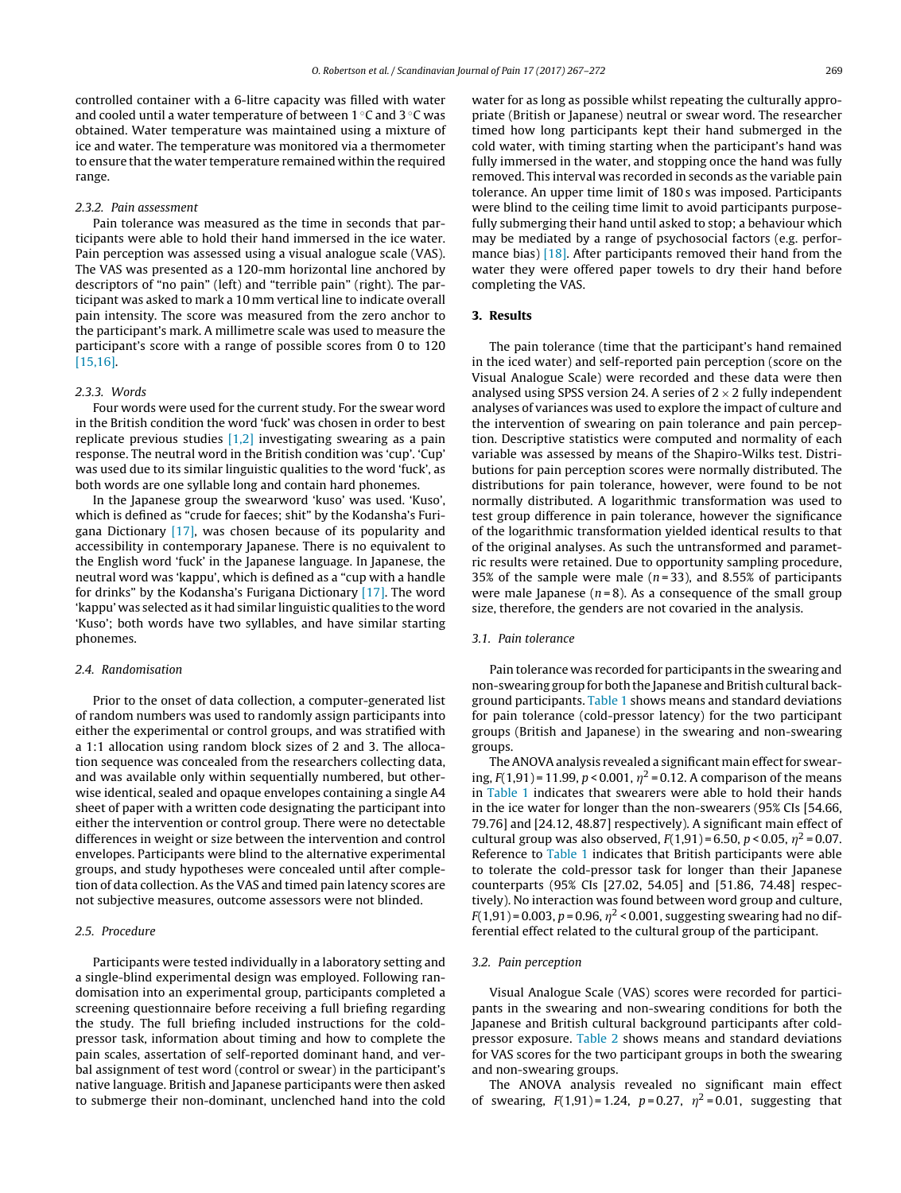controlled container with a 6-litre capacity was filled with water and cooled until a water temperature of between 1 ◦C and 3 ◦C was obtained. Water temperature was maintained using a mixture of ice and water. The temperature was monitored via a thermometer to ensure that the water temperature remained within the required range.

#### 2.3.2. Pain assessment

Pain tolerance was measured as the time in seconds that participants were able to hold their hand immersed in the ice water. Pain perception was assessed using a visual analogue scale (VAS). The VAS was presented as a 120-mm horizontal line anchored by descriptors of "no pain" (left) and "terrible pain" (right). The participant was asked to mark a 10 mm vertical line to indicate overall pain intensity. The score was measured from the zero anchor to the participant's mark. A millimetre scale was used to measure the participant's score with a range of possible scores from 0 to 120 [\[15,16\].](#page-4-0)

#### 2.3.3. Words

Four words were used for the current study. For the swear word in the British condition the word 'fuck' was chosen in order to best replicate previous studies  $[1,2]$  investigating swearing as a pain response. The neutral word in the British condition was 'cup'. 'Cup' was used due to its similar linguistic qualities to the word 'fuck', as both words are one syllable long and contain hard phonemes.

In the Japanese group the swearword 'kuso' was used. 'Kuso', which is defined as "crude for faeces; shit" by the Kodansha's Furigana Dictionary [\[17\],](#page-4-0) was chosen because of its popularity and accessibility in contemporary Japanese. There is no equivalent to the English word 'fuck' in the Japanese language. In Japanese, the neutral word was 'kappu', which is defined as a "cup with a handle for drinks" by the Kodansha's Furigana Dictionary [\[17\].](#page-4-0) The word 'kappu' was selected as it had similar linguistic qualities to the word 'Kuso'; both words have two syllables, and have similar starting phonemes.

#### 2.4. Randomisation

Prior to the onset of data collection, a computer-generated list of random numbers was used to randomly assign participants into either the experimental or control groups, and was stratified with a 1:1 allocation using random block sizes of 2 and 3. The allocation sequence was concealed from the researchers collecting data, and was available only within sequentially numbered, but otherwise identical, sealed and opaque envelopes containing a single A4 sheet of paper with a written code designating the participant into either the intervention or control group. There were no detectable differences in weight or size between the intervention and control envelopes. Participants were blind to the alternative experimental groups, and study hypotheses were concealed until after completion of data collection. As the VAS and timed pain latency scores are not subjective measures, outcome assessors were not blinded.

#### 2.5. Procedure

Participants were tested individually in a laboratory setting and a single-blind experimental design was employed. Following randomisation into an experimental group, participants completed a screening questionnaire before receiving a full briefing regarding the study. The full briefing included instructions for the coldpressor task, information about timing and how to complete the pain scales, assertation of self-reported dominant hand, and verbal assignment of test word (control or swear) in the participant's native language. British and Japanese participants were then asked to submerge their non-dominant, unclenched hand into the cold

water for as long as possible whilst repeating the culturally appropriate (British or Japanese) neutral or swear word. The researcher timed how long participants kept their hand submerged in the cold water, with timing starting when the participant's hand was fully immersed in the water, and stopping once the hand was fully removed. This interval was recorded in seconds as the variable pain tolerance. An upper time limit of 180 s was imposed. Participants were blind to the ceiling time limit to avoid participants purposefully submerging their hand until asked to stop; a behaviour which may be mediated by a range of psychosocial factors (e.g. perfor-mance bias) [\[18\].](#page-4-0) After participants removed their hand from the water they were offered paper towels to dry their hand before completing the VAS.

#### **3. Results**

The pain tolerance (time that the participant's hand remained in the iced water) and self-reported pain perception (score on the Visual Analogue Scale) were recorded and these data were then analysed using SPSS version 24. A series of  $2 \times 2$  fully independent analyses of variances was used to explore the impact of culture and the intervention of swearing on pain tolerance and pain perception. Descriptive statistics were computed and normality of each variable was assessed by means of the Shapiro-Wilks test. Distributions for pain perception scores were normally distributed. The distributions for pain tolerance, however, were found to be not normally distributed. A logarithmic transformation was used to test group difference in pain tolerance, however the significance of the logarithmic transformation yielded identical results to that of the original analyses. As such the untransformed and parametric results were retained. Due to opportunity sampling procedure, 35% of the sample were male ( $n=33$ ), and 8.55% of participants were male Japanese ( $n = 8$ ). As a consequence of the small group size, therefore, the genders are not covaried in the analysis.

#### 3.1. Pain tolerance

Pain tolerance was recorded for participants in the swearing and non-swearing group for both the Japanese and British cultural background participants. [Table](#page-3-0) 1 shows means and standard deviations for pain tolerance (cold-pressor latency) for the two participant groups (British and Japanese) in the swearing and non-swearing groups.

The ANOVA analysis revealed a significant main effect for swearing,  $F(1,91)$  = 11.99,  $p < 0.001$ ,  $\eta^2$  = 0.12. A comparison of the means in [Table](#page-3-0) 1 indicates that swearers were able to hold their hands in the ice water for longer than the non-swearers (95% CIs [54.66, 79.76] and [24.12, 48.87] respectively). A significant main effect of cultural group was also observed,  $F(1,91) = 6.50, p < 0.05, \eta^2 = 0.07$ . Reference to [Table](#page-3-0) 1 indicates that British participants were able to tolerate the cold-pressor task for longer than their Japanese counterparts (95% CIs [27.02, 54.05] and [51.86, 74.48] respectively). No interaction was found between word group and culture,  $F(1,91)$  = 0.003, p = 0.96,  $\eta^2$  < 0.001, suggesting swearing had no differential effect related to the cultural group of the participant.

#### 3.2. Pain perception

Visual Analogue Scale (VAS) scores were recorded for participants in the swearing and non-swearing conditions for both the Japanese and British cultural background participants after coldpressor exposure. [Table](#page-3-0) 2 shows means and standard deviations for VAS scores for the two participant groups in both the swearing and non-swearing groups.

The ANOVA analysis revealed no significant main effect of swearing,  $F(1,91) = 1.24$ ,  $p = 0.27$ ,  $\eta^2 = 0.01$ , suggesting that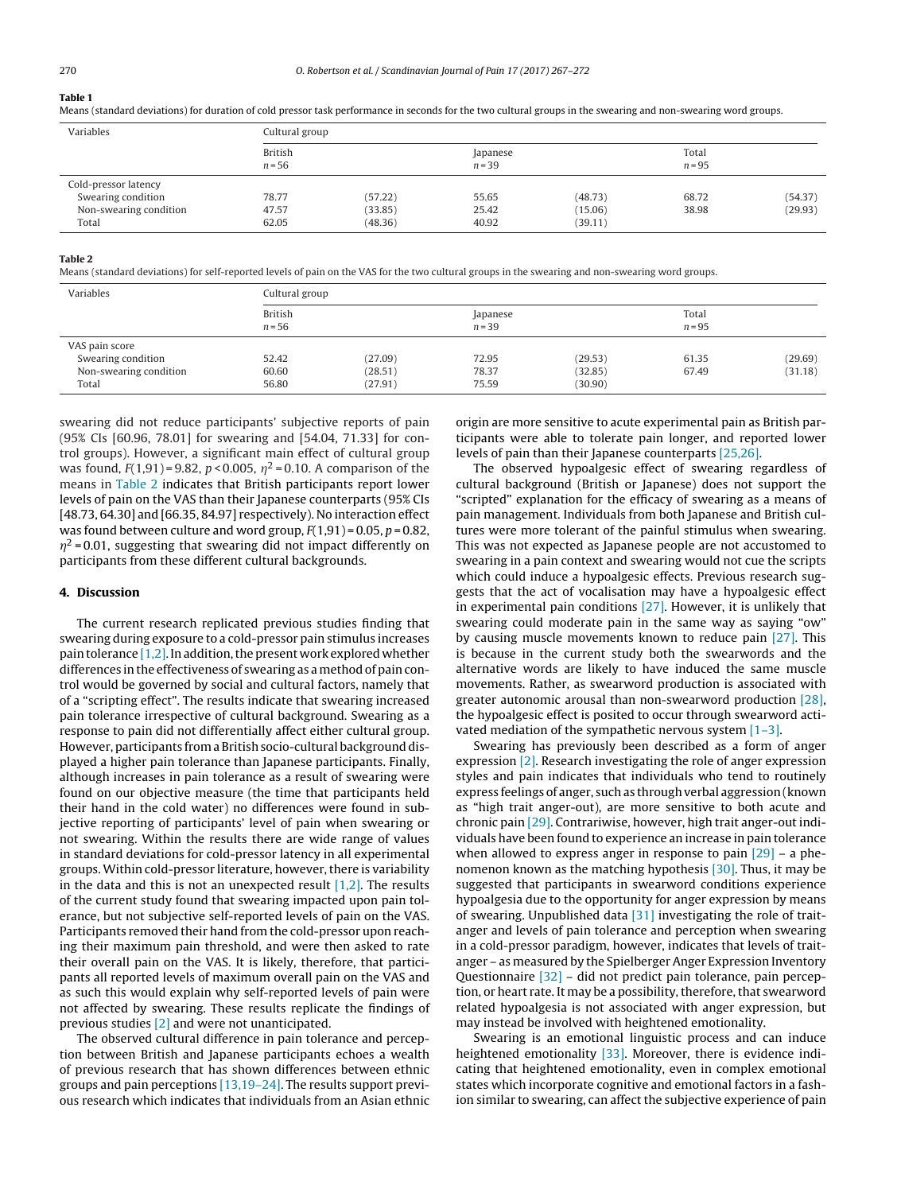#### <span id="page-3-0"></span>**Table 1**

Means (standard deviations) for duration of cold pressor task performance in seconds for the two cultural groups in the swearing and non-swearing word groups.

| Variables              | Cultural group      |         |                      |         |                   |         |  |  |
|------------------------|---------------------|---------|----------------------|---------|-------------------|---------|--|--|
|                        | British<br>$n = 56$ |         | Japanese<br>$n = 39$ |         | Total<br>$n = 95$ |         |  |  |
| Cold-pressor latency   |                     |         |                      |         |                   |         |  |  |
| Swearing condition     | 78.77               | (57.22) | 55.65                | (48.73) | 68.72             | (54.37) |  |  |
| Non-swearing condition | 47.57               | (33.85) | 25.42                | (15.06) | 38.98             | (29.93) |  |  |
| Total                  | 62.05               | (48.36) | 40.92                | (39.11) |                   |         |  |  |

#### **Table 2**

Means (standard deviations) for self-reported levels of pain on the VAS for the two cultural groups in the swearing and non-swearing word groups.

| Variables              | Cultural group             |         |                      |         |                   |         |  |  |
|------------------------|----------------------------|---------|----------------------|---------|-------------------|---------|--|--|
|                        | <b>British</b><br>$n = 56$ |         | Japanese<br>$n = 39$ |         | Total<br>$n = 95$ |         |  |  |
| VAS pain score         |                            |         |                      |         |                   |         |  |  |
| Swearing condition     | 52.42                      | (27.09) | 72.95                | (29.53) | 61.35             | (29.69) |  |  |
| Non-swearing condition | 60.60                      | (28.51) | 78.37                | (32.85) | 67.49             | (31.18) |  |  |
| Total                  | 56.80                      | (27.91) | 75.59                | (30.90) |                   |         |  |  |

swearing did not reduce participants' subjective reports of pain (95% CIs [60.96, 78.01] for swearing and [54.04, 71.33] for control groups). However, a significant main effect of cultural group was found,  $F(1,91) = 9.82$ ,  $p < 0.005$ ,  $\eta^2 = 0.10$ . A comparison of the means in Table 2 indicates that British participants report lower levels of pain on the VAS than their Japanese counterparts (95% CIs [48.73, 64.30] and [66.35, 84.97] respectively). No interaction effect was found between culture and word group,  $F(1,91) = 0.05$ ,  $p = 0.82$ ,  $\eta^2$ =0.01, suggesting that swearing did not impact differently on participants from these different cultural backgrounds.

#### **4. Discussion**

The current research replicated previous studies finding that swearing during exposure to a cold-pressor pain stimulus increases pain tolerance  $[1,2]$ . In addition, the present work explored whether differences in the effectiveness of swearing as a method of pain control would be governed by social and cultural factors, namely that of a "scripting effect". The results indicate that swearing increased pain tolerance irrespective of cultural background. Swearing as a response to pain did not differentially affect either cultural group. However, participants froma British socio-cultural background displayed a higher pain tolerance than Japanese participants. Finally, although increases in pain tolerance as a result of swearing were found on our objective measure (the time that participants held their hand in the cold water) no differences were found in subjective reporting of participants' level of pain when swearing or not swearing. Within the results there are wide range of values in standard deviations for cold-pressor latency in all experimental groups. Within cold-pressor literature, however,there is variability in the data and this is not an unexpected result  $[1,2]$ . The results of the current study found that swearing impacted upon pain tolerance, but not subjective self-reported levels of pain on the VAS. Participants removed their hand from the cold-pressor upon reaching their maximum pain threshold, and were then asked to rate their overall pain on the VAS. It is likely, therefore, that participants all reported levels of maximum overall pain on the VAS and as such this would explain why self-reported levels of pain were not affected by swearing. These results replicate the findings of previous studies [\[2\]](#page-4-0) and were not unanticipated.

The observed cultural difference in pain tolerance and perception between British and Japanese participants echoes a wealth of previous research that has shown differences between ethnic groups and pain perceptions [\[13,19–24\].](#page-4-0) The results support previous research which indicates that individuals from an Asian ethnic origin are more sensitive to acute experimental pain as British participants were able to tolerate pain longer, and reported lower levels of pain than their Japanese counterparts [\[25,26\].](#page-5-0)

The observed hypoalgesic effect of swearing regardless of cultural background (British or Japanese) does not support the "scripted" explanation for the efficacy of swearing as a means of pain management. Individuals from both Japanese and British cultures were more tolerant of the painful stimulus when swearing. This was not expected as Japanese people are not accustomed to swearing in a pain context and swearing would not cue the scripts which could induce a hypoalgesic effects. Previous research suggests that the act of vocalisation may have a hypoalgesic effect in experimental pain conditions  $[27]$ . However, it is unlikely that swearing could moderate pain in the same way as saying "ow" by causing muscle movements known to reduce pain [\[27\].](#page-5-0) This is because in the current study both the swearwords and the alternative words are likely to have induced the same muscle movements. Rather, as swearword production is associated with greater autonomic arousal than non-swearword production [\[28\],](#page-5-0) the hypoalgesic effect is posited to occur through swearword activated mediation of the sympathetic nervous system  $[1-3]$ .

Swearing has previously been described as a form of anger expression [\[2\].](#page-4-0) Research investigating the role of anger expression styles and pain indicates that individuals who tend to routinely express feelings of anger, such as through verbal aggression (known as "high trait anger-out), are more sensitive to both acute and chronic pain [\[29\].](#page-5-0) Contrariwise, however, high trait anger-out individuals have been found to experience an increase in pain tolerance when allowed to express anger in response to pain  $[29]$  – a phenomenon known as the matching hypothesis [\[30\].](#page-5-0) Thus, it may be suggested that participants in swearword conditions experience hypoalgesia due to the opportunity for anger expression by means of swearing. Unpublished data  $[31]$  investigating the role of traitanger and levels of pain tolerance and perception when swearing in a cold-pressor paradigm, however, indicates that levels of traitanger – as measured by the Spielberger Anger Expression Inventory Questionnaire [\[32\]](#page-5-0) – did not predict pain tolerance, pain perception, or heart rate. It may be a possibility, therefore, that swearword related hypoalgesia is not associated with anger expression, but may instead be involved with heightened emotionality.

Swearing is an emotional linguistic process and can induce heightened emotionality [\[33\].](#page-5-0) Moreover, there is evidence indicating that heightened emotionality, even in complex emotional states which incorporate cognitive and emotional factors in a fashion similar to swearing, can affect the subjective experience of pain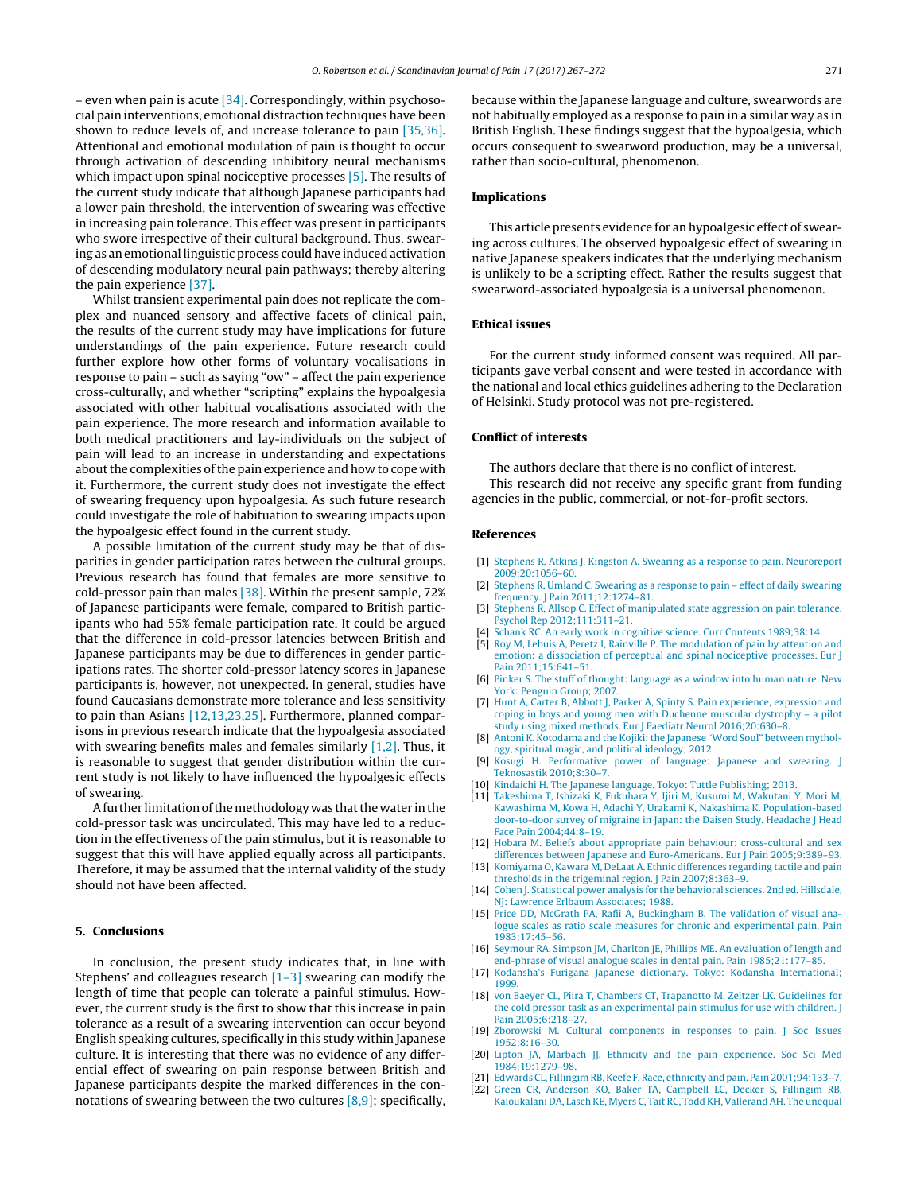<span id="page-4-0"></span>– even when pain is acute [\[34\].](#page-5-0) Correspondingly, within psychosocial pain interventions, emotional distraction techniques have been shown to reduce levels of, and increase tolerance to pain [\[35,36\].](#page-5-0) Attentional and emotional modulation of pain is thought to occur through activation of descending inhibitory neural mechanisms which impact upon spinal nociceptive processes [5]. The results of the current study indicate that although Japanese participants had a lower pain threshold, the intervention of swearing was effective in increasing pain tolerance. This effect was present in participants who swore irrespective of their cultural background. Thus, swearing as an emotional linguistic process could have induced activation of descending modulatory neural pain pathways; thereby altering the pain experience [\[37\].](#page-5-0)

Whilst transient experimental pain does not replicate the complex and nuanced sensory and affective facets of clinical pain, the results of the current study may have implications for future understandings of the pain experience. Future research could further explore how other forms of voluntary vocalisations in response to pain – such as saying "ow" – affect the pain experience cross-culturally, and whether "scripting" explains the hypoalgesia associated with other habitual vocalisations associated with the pain experience. The more research and information available to both medical practitioners and lay-individuals on the subject of pain will lead to an increase in understanding and expectations about the complexities of the pain experience and how to cope with it. Furthermore, the current study does not investigate the effect of swearing frequency upon hypoalgesia. As such future research could investigate the role of habituation to swearing impacts upon the hypoalgesic effect found in the current study.

A possible limitation of the current study may be that of disparities in gender participation rates between the cultural groups. Previous research has found that females are more sensitive to cold-pressor pain than males [\[38\].](#page-5-0) Within the present sample, 72% of Japanese participants were female, compared to British participants who had 55% female participation rate. It could be argued that the difference in cold-pressor latencies between British and Japanese participants may be due to differences in gender participations rates. The shorter cold-pressor latency scores in Japanese participants is, however, not unexpected. In general, studies have found Caucasians demonstrate more tolerance and less sensitivity to pain than Asians [12,13,23,25]. Furthermore, planned comparisons in previous research indicate that the hypoalgesia associated with swearing benefits males and females similarly  $[1,2]$ . Thus, it is reasonable to suggest that gender distribution within the current study is not likely to have influenced the hypoalgesic effects of swearing.

A further limitation of the methodology was that the water in the cold-pressor task was uncirculated. This may have led to a reduction in the effectiveness of the pain stimulus, but it is reasonable to suggest that this will have applied equally across all participants. Therefore, it may be assumed that the internal validity of the study should not have been affected.

#### **5. Conclusions**

In conclusion, the present study indicates that, in line with Stephens' and colleagues research  $[1-3]$  swearing can modify the length of time that people can tolerate a painful stimulus. However, the current study is the first to show that this increase in pain tolerance as a result of a swearing intervention can occur beyond English speaking cultures, specifically in this study within Japanese culture. It is interesting that there was no evidence of any differential effect of swearing on pain response between British and Japanese participants despite the marked differences in the connotations of swearing between the two cultures  $[8,9]$ ; specifically, because within the Japanese language and culture, swearwords are not habitually employed as a response to pain in a similar way as in British English. These findings suggest that the hypoalgesia, which occurs consequent to swearword production, may be a universal, rather than socio-cultural, phenomenon.

#### **Implications**

This article presents evidence for an hypoalgesic effect of swearing across cultures. The observed hypoalgesic effect of swearing in native Japanese speakers indicates that the underlying mechanism is unlikely to be a scripting effect. Rather the results suggest that swearword-associated hypoalgesia is a universal phenomenon.

#### **Ethical issues**

For the current study informed consent was required. All participants gave verbal consent and were tested in accordance with the national and local ethics guidelines adhering to the Declaration of Helsinki. Study protocol was not pre-registered.

#### **Conflict of interests**

The authors declare that there is no conflict of interest. This research did not receive any specific grant from funding agencies in the public, commercial, or not-for-profit sectors.

#### **References**

- [1] [Stephens](http://refhub.elsevier.com/S1877-8860(17)30154-4/sbref0195) [R,](http://refhub.elsevier.com/S1877-8860(17)30154-4/sbref0195) [Atkins](http://refhub.elsevier.com/S1877-8860(17)30154-4/sbref0195) [J,](http://refhub.elsevier.com/S1877-8860(17)30154-4/sbref0195) [Kingston](http://refhub.elsevier.com/S1877-8860(17)30154-4/sbref0195) [A.](http://refhub.elsevier.com/S1877-8860(17)30154-4/sbref0195) [Swearing](http://refhub.elsevier.com/S1877-8860(17)30154-4/sbref0195) [as](http://refhub.elsevier.com/S1877-8860(17)30154-4/sbref0195) [a](http://refhub.elsevier.com/S1877-8860(17)30154-4/sbref0195) [response](http://refhub.elsevier.com/S1877-8860(17)30154-4/sbref0195) [to](http://refhub.elsevier.com/S1877-8860(17)30154-4/sbref0195) [pain.](http://refhub.elsevier.com/S1877-8860(17)30154-4/sbref0195) [Neuroreport](http://refhub.elsevier.com/S1877-8860(17)30154-4/sbref0195) [2009;20:1056–60.](http://refhub.elsevier.com/S1877-8860(17)30154-4/sbref0195)
- [2] [Stephens](http://refhub.elsevier.com/S1877-8860(17)30154-4/sbref0200) [R,](http://refhub.elsevier.com/S1877-8860(17)30154-4/sbref0200) [Umland](http://refhub.elsevier.com/S1877-8860(17)30154-4/sbref0200) [C.](http://refhub.elsevier.com/S1877-8860(17)30154-4/sbref0200) [Swearing](http://refhub.elsevier.com/S1877-8860(17)30154-4/sbref0200) [as](http://refhub.elsevier.com/S1877-8860(17)30154-4/sbref0200) [a](http://refhub.elsevier.com/S1877-8860(17)30154-4/sbref0200) [response](http://refhub.elsevier.com/S1877-8860(17)30154-4/sbref0200) [to](http://refhub.elsevier.com/S1877-8860(17)30154-4/sbref0200) [pain](http://refhub.elsevier.com/S1877-8860(17)30154-4/sbref0200) [effect](http://refhub.elsevier.com/S1877-8860(17)30154-4/sbref0200) [of](http://refhub.elsevier.com/S1877-8860(17)30154-4/sbref0200) [daily](http://refhub.elsevier.com/S1877-8860(17)30154-4/sbref0200) [swearing](http://refhub.elsevier.com/S1877-8860(17)30154-4/sbref0200) [frequency.](http://refhub.elsevier.com/S1877-8860(17)30154-4/sbref0200) [J](http://refhub.elsevier.com/S1877-8860(17)30154-4/sbref0200) [Pain](http://refhub.elsevier.com/S1877-8860(17)30154-4/sbref0200) [2011;12:1274–81.](http://refhub.elsevier.com/S1877-8860(17)30154-4/sbref0200)
- [3] [Stephens](http://refhub.elsevier.com/S1877-8860(17)30154-4/sbref0205) [R,](http://refhub.elsevier.com/S1877-8860(17)30154-4/sbref0205) [Allsop](http://refhub.elsevier.com/S1877-8860(17)30154-4/sbref0205) [C.](http://refhub.elsevier.com/S1877-8860(17)30154-4/sbref0205) [Effect](http://refhub.elsevier.com/S1877-8860(17)30154-4/sbref0205) [of](http://refhub.elsevier.com/S1877-8860(17)30154-4/sbref0205) [manipulated](http://refhub.elsevier.com/S1877-8860(17)30154-4/sbref0205) [state](http://refhub.elsevier.com/S1877-8860(17)30154-4/sbref0205) [aggression](http://refhub.elsevier.com/S1877-8860(17)30154-4/sbref0205) [on](http://refhub.elsevier.com/S1877-8860(17)30154-4/sbref0205) [pain](http://refhub.elsevier.com/S1877-8860(17)30154-4/sbref0205) [tolerance.](http://refhub.elsevier.com/S1877-8860(17)30154-4/sbref0205) [Psychol](http://refhub.elsevier.com/S1877-8860(17)30154-4/sbref0205) [Rep](http://refhub.elsevier.com/S1877-8860(17)30154-4/sbref0205) [2012;111:311](http://refhub.elsevier.com/S1877-8860(17)30154-4/sbref0205)–[21.](http://refhub.elsevier.com/S1877-8860(17)30154-4/sbref0205)
- [4] [Schank](http://refhub.elsevier.com/S1877-8860(17)30154-4/sbref0210) [RC.](http://refhub.elsevier.com/S1877-8860(17)30154-4/sbref0210) [An](http://refhub.elsevier.com/S1877-8860(17)30154-4/sbref0210) [early](http://refhub.elsevier.com/S1877-8860(17)30154-4/sbref0210) [work](http://refhub.elsevier.com/S1877-8860(17)30154-4/sbref0210) [in](http://refhub.elsevier.com/S1877-8860(17)30154-4/sbref0210) [cognitive](http://refhub.elsevier.com/S1877-8860(17)30154-4/sbref0210) [science.](http://refhub.elsevier.com/S1877-8860(17)30154-4/sbref0210) [Curr](http://refhub.elsevier.com/S1877-8860(17)30154-4/sbref0210) [Contents](http://refhub.elsevier.com/S1877-8860(17)30154-4/sbref0210) [1989;38:14.](http://refhub.elsevier.com/S1877-8860(17)30154-4/sbref0210)
- [5] [Roy](http://refhub.elsevier.com/S1877-8860(17)30154-4/sbref0215) [M,](http://refhub.elsevier.com/S1877-8860(17)30154-4/sbref0215) [Lebuis](http://refhub.elsevier.com/S1877-8860(17)30154-4/sbref0215) [A,](http://refhub.elsevier.com/S1877-8860(17)30154-4/sbref0215) [Peretz](http://refhub.elsevier.com/S1877-8860(17)30154-4/sbref0215) [I,](http://refhub.elsevier.com/S1877-8860(17)30154-4/sbref0215) [Rainville](http://refhub.elsevier.com/S1877-8860(17)30154-4/sbref0215) [P.](http://refhub.elsevier.com/S1877-8860(17)30154-4/sbref0215) [The](http://refhub.elsevier.com/S1877-8860(17)30154-4/sbref0215) [modulation](http://refhub.elsevier.com/S1877-8860(17)30154-4/sbref0215) [of](http://refhub.elsevier.com/S1877-8860(17)30154-4/sbref0215) [pain](http://refhub.elsevier.com/S1877-8860(17)30154-4/sbref0215) [by](http://refhub.elsevier.com/S1877-8860(17)30154-4/sbref0215) [attention](http://refhub.elsevier.com/S1877-8860(17)30154-4/sbref0215) [and](http://refhub.elsevier.com/S1877-8860(17)30154-4/sbref0215) [emotion:](http://refhub.elsevier.com/S1877-8860(17)30154-4/sbref0215) [a](http://refhub.elsevier.com/S1877-8860(17)30154-4/sbref0215) [dissociation](http://refhub.elsevier.com/S1877-8860(17)30154-4/sbref0215) [of](http://refhub.elsevier.com/S1877-8860(17)30154-4/sbref0215) [perceptual](http://refhub.elsevier.com/S1877-8860(17)30154-4/sbref0215) [and](http://refhub.elsevier.com/S1877-8860(17)30154-4/sbref0215) [spinal](http://refhub.elsevier.com/S1877-8860(17)30154-4/sbref0215) [nociceptive](http://refhub.elsevier.com/S1877-8860(17)30154-4/sbref0215) [processes.](http://refhub.elsevier.com/S1877-8860(17)30154-4/sbref0215) [Eur](http://refhub.elsevier.com/S1877-8860(17)30154-4/sbref0215) [J](http://refhub.elsevier.com/S1877-8860(17)30154-4/sbref0215) [Pain](http://refhub.elsevier.com/S1877-8860(17)30154-4/sbref0215) [2011;15:641](http://refhub.elsevier.com/S1877-8860(17)30154-4/sbref0215)–[51.](http://refhub.elsevier.com/S1877-8860(17)30154-4/sbref0215)
- [6] [Pinker](http://refhub.elsevier.com/S1877-8860(17)30154-4/sbref0220) [S.](http://refhub.elsevier.com/S1877-8860(17)30154-4/sbref0220) [The](http://refhub.elsevier.com/S1877-8860(17)30154-4/sbref0220) [stuff](http://refhub.elsevier.com/S1877-8860(17)30154-4/sbref0220) [of](http://refhub.elsevier.com/S1877-8860(17)30154-4/sbref0220) [thought:](http://refhub.elsevier.com/S1877-8860(17)30154-4/sbref0220) [language](http://refhub.elsevier.com/S1877-8860(17)30154-4/sbref0220) [as](http://refhub.elsevier.com/S1877-8860(17)30154-4/sbref0220) [a](http://refhub.elsevier.com/S1877-8860(17)30154-4/sbref0220) [window](http://refhub.elsevier.com/S1877-8860(17)30154-4/sbref0220) [into](http://refhub.elsevier.com/S1877-8860(17)30154-4/sbref0220) [human](http://refhub.elsevier.com/S1877-8860(17)30154-4/sbref0220) [nature.](http://refhub.elsevier.com/S1877-8860(17)30154-4/sbref0220) [New](http://refhub.elsevier.com/S1877-8860(17)30154-4/sbref0220) [York:](http://refhub.elsevier.com/S1877-8860(17)30154-4/sbref0220) [Penguin](http://refhub.elsevier.com/S1877-8860(17)30154-4/sbref0220) [Group;](http://refhub.elsevier.com/S1877-8860(17)30154-4/sbref0220) [2007.](http://refhub.elsevier.com/S1877-8860(17)30154-4/sbref0220)
- [7] [Hunt](http://refhub.elsevier.com/S1877-8860(17)30154-4/sbref0225) [A,](http://refhub.elsevier.com/S1877-8860(17)30154-4/sbref0225) [Carter](http://refhub.elsevier.com/S1877-8860(17)30154-4/sbref0225) [B,](http://refhub.elsevier.com/S1877-8860(17)30154-4/sbref0225) [Abbott](http://refhub.elsevier.com/S1877-8860(17)30154-4/sbref0225) [J,](http://refhub.elsevier.com/S1877-8860(17)30154-4/sbref0225) [Parker](http://refhub.elsevier.com/S1877-8860(17)30154-4/sbref0225) A, [Spinty](http://refhub.elsevier.com/S1877-8860(17)30154-4/sbref0225) [S.](http://refhub.elsevier.com/S1877-8860(17)30154-4/sbref0225) [Pain](http://refhub.elsevier.com/S1877-8860(17)30154-4/sbref0225) [experience,](http://refhub.elsevier.com/S1877-8860(17)30154-4/sbref0225) [expression](http://refhub.elsevier.com/S1877-8860(17)30154-4/sbref0225) [and](http://refhub.elsevier.com/S1877-8860(17)30154-4/sbref0225) [coping](http://refhub.elsevier.com/S1877-8860(17)30154-4/sbref0225) [in](http://refhub.elsevier.com/S1877-8860(17)30154-4/sbref0225) [boys](http://refhub.elsevier.com/S1877-8860(17)30154-4/sbref0225) [and](http://refhub.elsevier.com/S1877-8860(17)30154-4/sbref0225) [young](http://refhub.elsevier.com/S1877-8860(17)30154-4/sbref0225) [men](http://refhub.elsevier.com/S1877-8860(17)30154-4/sbref0225) [with](http://refhub.elsevier.com/S1877-8860(17)30154-4/sbref0225) [Duchenne](http://refhub.elsevier.com/S1877-8860(17)30154-4/sbref0225) [muscular](http://refhub.elsevier.com/S1877-8860(17)30154-4/sbref0225) [dystrophy](http://refhub.elsevier.com/S1877-8860(17)30154-4/sbref0225) – [a](http://refhub.elsevier.com/S1877-8860(17)30154-4/sbref0225) [pilot](http://refhub.elsevier.com/S1877-8860(17)30154-4/sbref0225) [study](http://refhub.elsevier.com/S1877-8860(17)30154-4/sbref0225) [using](http://refhub.elsevier.com/S1877-8860(17)30154-4/sbref0225) [mixed](http://refhub.elsevier.com/S1877-8860(17)30154-4/sbref0225) [methods.](http://refhub.elsevier.com/S1877-8860(17)30154-4/sbref0225) [Eur](http://refhub.elsevier.com/S1877-8860(17)30154-4/sbref0225) [J](http://refhub.elsevier.com/S1877-8860(17)30154-4/sbref0225) [Paediatr](http://refhub.elsevier.com/S1877-8860(17)30154-4/sbref0225) [Neurol](http://refhub.elsevier.com/S1877-8860(17)30154-4/sbref0225) [2016;20:630](http://refhub.elsevier.com/S1877-8860(17)30154-4/sbref0225)–[8.](http://refhub.elsevier.com/S1877-8860(17)30154-4/sbref0225)
- [8] [Antoni](http://refhub.elsevier.com/S1877-8860(17)30154-4/sbref0230) [K.](http://refhub.elsevier.com/S1877-8860(17)30154-4/sbref0230) [Kotodama](http://refhub.elsevier.com/S1877-8860(17)30154-4/sbref0230) [and](http://refhub.elsevier.com/S1877-8860(17)30154-4/sbref0230) [the](http://refhub.elsevier.com/S1877-8860(17)30154-4/sbref0230) Kojiki: the [Japanese](http://refhub.elsevier.com/S1877-8860(17)30154-4/sbref0230) ["Word](http://refhub.elsevier.com/S1877-8860(17)30154-4/sbref0230) [Soul"](http://refhub.elsevier.com/S1877-8860(17)30154-4/sbref0230) [between](http://refhub.elsevier.com/S1877-8860(17)30154-4/sbref0230) [mythol](http://refhub.elsevier.com/S1877-8860(17)30154-4/sbref0230)[ogy,](http://refhub.elsevier.com/S1877-8860(17)30154-4/sbref0230) [spiritual](http://refhub.elsevier.com/S1877-8860(17)30154-4/sbref0230) [magic,](http://refhub.elsevier.com/S1877-8860(17)30154-4/sbref0230) [and](http://refhub.elsevier.com/S1877-8860(17)30154-4/sbref0230) [political](http://refhub.elsevier.com/S1877-8860(17)30154-4/sbref0230) [ideology;](http://refhub.elsevier.com/S1877-8860(17)30154-4/sbref0230) [2012.](http://refhub.elsevier.com/S1877-8860(17)30154-4/sbref0230)
- [9] [Kosugi](http://refhub.elsevier.com/S1877-8860(17)30154-4/sbref0235) [H.](http://refhub.elsevier.com/S1877-8860(17)30154-4/sbref0235) [Performative](http://refhub.elsevier.com/S1877-8860(17)30154-4/sbref0235) [power](http://refhub.elsevier.com/S1877-8860(17)30154-4/sbref0235) [of](http://refhub.elsevier.com/S1877-8860(17)30154-4/sbref0235) [language:](http://refhub.elsevier.com/S1877-8860(17)30154-4/sbref0235) [Japanese](http://refhub.elsevier.com/S1877-8860(17)30154-4/sbref0235) [and](http://refhub.elsevier.com/S1877-8860(17)30154-4/sbref0235) [swearing.](http://refhub.elsevier.com/S1877-8860(17)30154-4/sbref0235) [J](http://refhub.elsevier.com/S1877-8860(17)30154-4/sbref0235) [Teknosastik](http://refhub.elsevier.com/S1877-8860(17)30154-4/sbref0235) [2010;8:30](http://refhub.elsevier.com/S1877-8860(17)30154-4/sbref0235)–[7.](http://refhub.elsevier.com/S1877-8860(17)30154-4/sbref0235)
- [10] [Kindaichi](http://refhub.elsevier.com/S1877-8860(17)30154-4/sbref0240) [H.](http://refhub.elsevier.com/S1877-8860(17)30154-4/sbref0240) [The](http://refhub.elsevier.com/S1877-8860(17)30154-4/sbref0240) [Japanese](http://refhub.elsevier.com/S1877-8860(17)30154-4/sbref0240) [language.](http://refhub.elsevier.com/S1877-8860(17)30154-4/sbref0240) [Tokyo:](http://refhub.elsevier.com/S1877-8860(17)30154-4/sbref0240) [Tuttle](http://refhub.elsevier.com/S1877-8860(17)30154-4/sbref0240) [Publishing;](http://refhub.elsevier.com/S1877-8860(17)30154-4/sbref0240) [2013.](http://refhub.elsevier.com/S1877-8860(17)30154-4/sbref0240)
- [11] [Takeshima](http://refhub.elsevier.com/S1877-8860(17)30154-4/sbref0245) [T,](http://refhub.elsevier.com/S1877-8860(17)30154-4/sbref0245) [Ishizaki](http://refhub.elsevier.com/S1877-8860(17)30154-4/sbref0245) [K,](http://refhub.elsevier.com/S1877-8860(17)30154-4/sbref0245) [Fukuhara](http://refhub.elsevier.com/S1877-8860(17)30154-4/sbref0245) [Y,](http://refhub.elsevier.com/S1877-8860(17)30154-4/sbref0245) [Ijiri](http://refhub.elsevier.com/S1877-8860(17)30154-4/sbref0245) [M,](http://refhub.elsevier.com/S1877-8860(17)30154-4/sbref0245) [Kusumi](http://refhub.elsevier.com/S1877-8860(17)30154-4/sbref0245) [M,](http://refhub.elsevier.com/S1877-8860(17)30154-4/sbref0245) [Wakutani](http://refhub.elsevier.com/S1877-8860(17)30154-4/sbref0245) [Y,](http://refhub.elsevier.com/S1877-8860(17)30154-4/sbref0245) [Mori](http://refhub.elsevier.com/S1877-8860(17)30154-4/sbref0245) [M,](http://refhub.elsevier.com/S1877-8860(17)30154-4/sbref0245) [Kawashima](http://refhub.elsevier.com/S1877-8860(17)30154-4/sbref0245) [M,](http://refhub.elsevier.com/S1877-8860(17)30154-4/sbref0245) [Kowa](http://refhub.elsevier.com/S1877-8860(17)30154-4/sbref0245) [H,](http://refhub.elsevier.com/S1877-8860(17)30154-4/sbref0245) [Adachi](http://refhub.elsevier.com/S1877-8860(17)30154-4/sbref0245) [Y,](http://refhub.elsevier.com/S1877-8860(17)30154-4/sbref0245) [Urakami](http://refhub.elsevier.com/S1877-8860(17)30154-4/sbref0245) [K,](http://refhub.elsevier.com/S1877-8860(17)30154-4/sbref0245) [Nakashima](http://refhub.elsevier.com/S1877-8860(17)30154-4/sbref0245) [K.](http://refhub.elsevier.com/S1877-8860(17)30154-4/sbref0245) [Population-based](http://refhub.elsevier.com/S1877-8860(17)30154-4/sbref0245) [door-to-door](http://refhub.elsevier.com/S1877-8860(17)30154-4/sbref0245) [survey](http://refhub.elsevier.com/S1877-8860(17)30154-4/sbref0245) [of](http://refhub.elsevier.com/S1877-8860(17)30154-4/sbref0245) [migraine](http://refhub.elsevier.com/S1877-8860(17)30154-4/sbref0245) [in](http://refhub.elsevier.com/S1877-8860(17)30154-4/sbref0245) [Japan:](http://refhub.elsevier.com/S1877-8860(17)30154-4/sbref0245) [the](http://refhub.elsevier.com/S1877-8860(17)30154-4/sbref0245) [Daisen](http://refhub.elsevier.com/S1877-8860(17)30154-4/sbref0245) [Study.](http://refhub.elsevier.com/S1877-8860(17)30154-4/sbref0245) [Headache](http://refhub.elsevier.com/S1877-8860(17)30154-4/sbref0245) [J](http://refhub.elsevier.com/S1877-8860(17)30154-4/sbref0245) [Head](http://refhub.elsevier.com/S1877-8860(17)30154-4/sbref0245) [Face](http://refhub.elsevier.com/S1877-8860(17)30154-4/sbref0245) [Pain](http://refhub.elsevier.com/S1877-8860(17)30154-4/sbref0245) [2004;44:8–19.](http://refhub.elsevier.com/S1877-8860(17)30154-4/sbref0245)
- [12] [Hobara](http://refhub.elsevier.com/S1877-8860(17)30154-4/sbref0250) [M.](http://refhub.elsevier.com/S1877-8860(17)30154-4/sbref0250) [Beliefs](http://refhub.elsevier.com/S1877-8860(17)30154-4/sbref0250) [about](http://refhub.elsevier.com/S1877-8860(17)30154-4/sbref0250) [appropriate](http://refhub.elsevier.com/S1877-8860(17)30154-4/sbref0250) [pain](http://refhub.elsevier.com/S1877-8860(17)30154-4/sbref0250) [behaviour:](http://refhub.elsevier.com/S1877-8860(17)30154-4/sbref0250) [cross-cultural](http://refhub.elsevier.com/S1877-8860(17)30154-4/sbref0250) [and](http://refhub.elsevier.com/S1877-8860(17)30154-4/sbref0250) [sex](http://refhub.elsevier.com/S1877-8860(17)30154-4/sbref0250) [differences](http://refhub.elsevier.com/S1877-8860(17)30154-4/sbref0250) [between](http://refhub.elsevier.com/S1877-8860(17)30154-4/sbref0250) [Japanese](http://refhub.elsevier.com/S1877-8860(17)30154-4/sbref0250) [and](http://refhub.elsevier.com/S1877-8860(17)30154-4/sbref0250) [Euro-Americans.](http://refhub.elsevier.com/S1877-8860(17)30154-4/sbref0250) [Eur](http://refhub.elsevier.com/S1877-8860(17)30154-4/sbref0250) [J](http://refhub.elsevier.com/S1877-8860(17)30154-4/sbref0250) [Pain](http://refhub.elsevier.com/S1877-8860(17)30154-4/sbref0250) [2005;9:389–93.](http://refhub.elsevier.com/S1877-8860(17)30154-4/sbref0250)
- [13] [Komiyama](http://refhub.elsevier.com/S1877-8860(17)30154-4/sbref0255) [O,](http://refhub.elsevier.com/S1877-8860(17)30154-4/sbref0255) [Kawara](http://refhub.elsevier.com/S1877-8860(17)30154-4/sbref0255) [M,](http://refhub.elsevier.com/S1877-8860(17)30154-4/sbref0255) [DeLaat](http://refhub.elsevier.com/S1877-8860(17)30154-4/sbref0255) [A.](http://refhub.elsevier.com/S1877-8860(17)30154-4/sbref0255) [Ethnic](http://refhub.elsevier.com/S1877-8860(17)30154-4/sbref0255) [differences](http://refhub.elsevier.com/S1877-8860(17)30154-4/sbref0255) [regarding](http://refhub.elsevier.com/S1877-8860(17)30154-4/sbref0255) [tactile](http://refhub.elsevier.com/S1877-8860(17)30154-4/sbref0255) [and](http://refhub.elsevier.com/S1877-8860(17)30154-4/sbref0255) [pain](http://refhub.elsevier.com/S1877-8860(17)30154-4/sbref0255) [thresholds](http://refhub.elsevier.com/S1877-8860(17)30154-4/sbref0255) [in](http://refhub.elsevier.com/S1877-8860(17)30154-4/sbref0255) [the](http://refhub.elsevier.com/S1877-8860(17)30154-4/sbref0255) [trigeminal](http://refhub.elsevier.com/S1877-8860(17)30154-4/sbref0255) [region.](http://refhub.elsevier.com/S1877-8860(17)30154-4/sbref0255) [J](http://refhub.elsevier.com/S1877-8860(17)30154-4/sbref0255) [Pain](http://refhub.elsevier.com/S1877-8860(17)30154-4/sbref0255) [2007;8:363–9.](http://refhub.elsevier.com/S1877-8860(17)30154-4/sbref0255)
- [14] [Cohen](http://refhub.elsevier.com/S1877-8860(17)30154-4/sbref0260) [J.](http://refhub.elsevier.com/S1877-8860(17)30154-4/sbref0260) [Statistical](http://refhub.elsevier.com/S1877-8860(17)30154-4/sbref0260) [power](http://refhub.elsevier.com/S1877-8860(17)30154-4/sbref0260) [analysis](http://refhub.elsevier.com/S1877-8860(17)30154-4/sbref0260) [for](http://refhub.elsevier.com/S1877-8860(17)30154-4/sbref0260) [the](http://refhub.elsevier.com/S1877-8860(17)30154-4/sbref0260) [behavioral](http://refhub.elsevier.com/S1877-8860(17)30154-4/sbref0260) [sciences.](http://refhub.elsevier.com/S1877-8860(17)30154-4/sbref0260) [2nd](http://refhub.elsevier.com/S1877-8860(17)30154-4/sbref0260) [ed.](http://refhub.elsevier.com/S1877-8860(17)30154-4/sbref0260) [Hillsdale,](http://refhub.elsevier.com/S1877-8860(17)30154-4/sbref0260) [NJ:](http://refhub.elsevier.com/S1877-8860(17)30154-4/sbref0260) [Lawrence](http://refhub.elsevier.com/S1877-8860(17)30154-4/sbref0260) [Erlbaum](http://refhub.elsevier.com/S1877-8860(17)30154-4/sbref0260) [Associates;](http://refhub.elsevier.com/S1877-8860(17)30154-4/sbref0260) [1988.](http://refhub.elsevier.com/S1877-8860(17)30154-4/sbref0260)
- [15] [Price](http://refhub.elsevier.com/S1877-8860(17)30154-4/sbref0265) [DD,](http://refhub.elsevier.com/S1877-8860(17)30154-4/sbref0265) [McGrath](http://refhub.elsevier.com/S1877-8860(17)30154-4/sbref0265) [PA,](http://refhub.elsevier.com/S1877-8860(17)30154-4/sbref0265) [Rafii](http://refhub.elsevier.com/S1877-8860(17)30154-4/sbref0265) [A,](http://refhub.elsevier.com/S1877-8860(17)30154-4/sbref0265) [Buckingham](http://refhub.elsevier.com/S1877-8860(17)30154-4/sbref0265) [B.](http://refhub.elsevier.com/S1877-8860(17)30154-4/sbref0265) [The](http://refhub.elsevier.com/S1877-8860(17)30154-4/sbref0265) [validation](http://refhub.elsevier.com/S1877-8860(17)30154-4/sbref0265) [of](http://refhub.elsevier.com/S1877-8860(17)30154-4/sbref0265) [visual](http://refhub.elsevier.com/S1877-8860(17)30154-4/sbref0265) [ana](http://refhub.elsevier.com/S1877-8860(17)30154-4/sbref0265)[logue](http://refhub.elsevier.com/S1877-8860(17)30154-4/sbref0265) [scales](http://refhub.elsevier.com/S1877-8860(17)30154-4/sbref0265) [as](http://refhub.elsevier.com/S1877-8860(17)30154-4/sbref0265) [ratio](http://refhub.elsevier.com/S1877-8860(17)30154-4/sbref0265) [scale](http://refhub.elsevier.com/S1877-8860(17)30154-4/sbref0265) [measures](http://refhub.elsevier.com/S1877-8860(17)30154-4/sbref0265) [for](http://refhub.elsevier.com/S1877-8860(17)30154-4/sbref0265) [chronic](http://refhub.elsevier.com/S1877-8860(17)30154-4/sbref0265) [and](http://refhub.elsevier.com/S1877-8860(17)30154-4/sbref0265) [experimental](http://refhub.elsevier.com/S1877-8860(17)30154-4/sbref0265) [pain.](http://refhub.elsevier.com/S1877-8860(17)30154-4/sbref0265) [Pain](http://refhub.elsevier.com/S1877-8860(17)30154-4/sbref0265) [1983;17:45–56.](http://refhub.elsevier.com/S1877-8860(17)30154-4/sbref0265)
- [16] [Seymour](http://refhub.elsevier.com/S1877-8860(17)30154-4/sbref0270) [RA,](http://refhub.elsevier.com/S1877-8860(17)30154-4/sbref0270) [Simpson](http://refhub.elsevier.com/S1877-8860(17)30154-4/sbref0270) [JM,](http://refhub.elsevier.com/S1877-8860(17)30154-4/sbref0270) [Charlton](http://refhub.elsevier.com/S1877-8860(17)30154-4/sbref0270) [JE,](http://refhub.elsevier.com/S1877-8860(17)30154-4/sbref0270) [Phillips](http://refhub.elsevier.com/S1877-8860(17)30154-4/sbref0270) [ME.](http://refhub.elsevier.com/S1877-8860(17)30154-4/sbref0270) [An](http://refhub.elsevier.com/S1877-8860(17)30154-4/sbref0270) [evaluation](http://refhub.elsevier.com/S1877-8860(17)30154-4/sbref0270) [of](http://refhub.elsevier.com/S1877-8860(17)30154-4/sbref0270) [length](http://refhub.elsevier.com/S1877-8860(17)30154-4/sbref0270) [and](http://refhub.elsevier.com/S1877-8860(17)30154-4/sbref0270) [end-phrase](http://refhub.elsevier.com/S1877-8860(17)30154-4/sbref0270) [of](http://refhub.elsevier.com/S1877-8860(17)30154-4/sbref0270) [visual](http://refhub.elsevier.com/S1877-8860(17)30154-4/sbref0270) [analogue](http://refhub.elsevier.com/S1877-8860(17)30154-4/sbref0270) [scales](http://refhub.elsevier.com/S1877-8860(17)30154-4/sbref0270) [in](http://refhub.elsevier.com/S1877-8860(17)30154-4/sbref0270) [dental](http://refhub.elsevier.com/S1877-8860(17)30154-4/sbref0270) [pain.](http://refhub.elsevier.com/S1877-8860(17)30154-4/sbref0270) [Pain](http://refhub.elsevier.com/S1877-8860(17)30154-4/sbref0270) [1985;21:177–85.](http://refhub.elsevier.com/S1877-8860(17)30154-4/sbref0270)
- [17] [Kodansha's](http://refhub.elsevier.com/S1877-8860(17)30154-4/sbref0275) [Furigana](http://refhub.elsevier.com/S1877-8860(17)30154-4/sbref0275) [Japanese](http://refhub.elsevier.com/S1877-8860(17)30154-4/sbref0275) [dictionary.](http://refhub.elsevier.com/S1877-8860(17)30154-4/sbref0275) [Tokyo:](http://refhub.elsevier.com/S1877-8860(17)30154-4/sbref0275) [Kodansha](http://refhub.elsevier.com/S1877-8860(17)30154-4/sbref0275) [International;](http://refhub.elsevier.com/S1877-8860(17)30154-4/sbref0275) [1999.](http://refhub.elsevier.com/S1877-8860(17)30154-4/sbref0275)
- [18] [von](http://refhub.elsevier.com/S1877-8860(17)30154-4/sbref0280) [Baeyer](http://refhub.elsevier.com/S1877-8860(17)30154-4/sbref0280) [CL,](http://refhub.elsevier.com/S1877-8860(17)30154-4/sbref0280) [Piira](http://refhub.elsevier.com/S1877-8860(17)30154-4/sbref0280) [T,](http://refhub.elsevier.com/S1877-8860(17)30154-4/sbref0280) [Chambers](http://refhub.elsevier.com/S1877-8860(17)30154-4/sbref0280) [CT,](http://refhub.elsevier.com/S1877-8860(17)30154-4/sbref0280) [Trapanotto](http://refhub.elsevier.com/S1877-8860(17)30154-4/sbref0280) [M,](http://refhub.elsevier.com/S1877-8860(17)30154-4/sbref0280) [Zeltzer](http://refhub.elsevier.com/S1877-8860(17)30154-4/sbref0280) [LK.](http://refhub.elsevier.com/S1877-8860(17)30154-4/sbref0280) [Guidelines](http://refhub.elsevier.com/S1877-8860(17)30154-4/sbref0280) [for](http://refhub.elsevier.com/S1877-8860(17)30154-4/sbref0280) [the](http://refhub.elsevier.com/S1877-8860(17)30154-4/sbref0280) [cold](http://refhub.elsevier.com/S1877-8860(17)30154-4/sbref0280) [pressor](http://refhub.elsevier.com/S1877-8860(17)30154-4/sbref0280) [task](http://refhub.elsevier.com/S1877-8860(17)30154-4/sbref0280) [as](http://refhub.elsevier.com/S1877-8860(17)30154-4/sbref0280) [an](http://refhub.elsevier.com/S1877-8860(17)30154-4/sbref0280) [experimental](http://refhub.elsevier.com/S1877-8860(17)30154-4/sbref0280) [pain](http://refhub.elsevier.com/S1877-8860(17)30154-4/sbref0280) [stimulus](http://refhub.elsevier.com/S1877-8860(17)30154-4/sbref0280) [for](http://refhub.elsevier.com/S1877-8860(17)30154-4/sbref0280) [use](http://refhub.elsevier.com/S1877-8860(17)30154-4/sbref0280) [with](http://refhub.elsevier.com/S1877-8860(17)30154-4/sbref0280) [children.](http://refhub.elsevier.com/S1877-8860(17)30154-4/sbref0280) [J](http://refhub.elsevier.com/S1877-8860(17)30154-4/sbref0280) [Pain](http://refhub.elsevier.com/S1877-8860(17)30154-4/sbref0280) [2005;6:218](http://refhub.elsevier.com/S1877-8860(17)30154-4/sbref0280)–[27.](http://refhub.elsevier.com/S1877-8860(17)30154-4/sbref0280)
- [19] [Zborowski](http://refhub.elsevier.com/S1877-8860(17)30154-4/sbref0285) [M.](http://refhub.elsevier.com/S1877-8860(17)30154-4/sbref0285) [Cultural](http://refhub.elsevier.com/S1877-8860(17)30154-4/sbref0285) [components](http://refhub.elsevier.com/S1877-8860(17)30154-4/sbref0285) [in](http://refhub.elsevier.com/S1877-8860(17)30154-4/sbref0285) [responses](http://refhub.elsevier.com/S1877-8860(17)30154-4/sbref0285) [to](http://refhub.elsevier.com/S1877-8860(17)30154-4/sbref0285) [pain.](http://refhub.elsevier.com/S1877-8860(17)30154-4/sbref0285) [J](http://refhub.elsevier.com/S1877-8860(17)30154-4/sbref0285) [Soc](http://refhub.elsevier.com/S1877-8860(17)30154-4/sbref0285) [Issues](http://refhub.elsevier.com/S1877-8860(17)30154-4/sbref0285) [1952;8:16–30.](http://refhub.elsevier.com/S1877-8860(17)30154-4/sbref0285)
- [20] [Lipton](http://refhub.elsevier.com/S1877-8860(17)30154-4/sbref0290) [JA,](http://refhub.elsevier.com/S1877-8860(17)30154-4/sbref0290) [Marbach](http://refhub.elsevier.com/S1877-8860(17)30154-4/sbref0290) [JJ.](http://refhub.elsevier.com/S1877-8860(17)30154-4/sbref0290) [Ethnicity](http://refhub.elsevier.com/S1877-8860(17)30154-4/sbref0290) [and](http://refhub.elsevier.com/S1877-8860(17)30154-4/sbref0290) [the](http://refhub.elsevier.com/S1877-8860(17)30154-4/sbref0290) [pain](http://refhub.elsevier.com/S1877-8860(17)30154-4/sbref0290) [experience.](http://refhub.elsevier.com/S1877-8860(17)30154-4/sbref0290) [Soc](http://refhub.elsevier.com/S1877-8860(17)30154-4/sbref0290) [Sci](http://refhub.elsevier.com/S1877-8860(17)30154-4/sbref0290) [Med](http://refhub.elsevier.com/S1877-8860(17)30154-4/sbref0290) [1984;19:1279–98.](http://refhub.elsevier.com/S1877-8860(17)30154-4/sbref0290)
- [21] [Edwards](http://refhub.elsevier.com/S1877-8860(17)30154-4/sbref0295) [CL,](http://refhub.elsevier.com/S1877-8860(17)30154-4/sbref0295) [Fillingim](http://refhub.elsevier.com/S1877-8860(17)30154-4/sbref0295) RB, Keefe [F.](http://refhub.elsevier.com/S1877-8860(17)30154-4/sbref0295) [Race,](http://refhub.elsevier.com/S1877-8860(17)30154-4/sbref0295) [ethnicity](http://refhub.elsevier.com/S1877-8860(17)30154-4/sbref0295) [and](http://refhub.elsevier.com/S1877-8860(17)30154-4/sbref0295) [pain.](http://refhub.elsevier.com/S1877-8860(17)30154-4/sbref0295) [Pain](http://refhub.elsevier.com/S1877-8860(17)30154-4/sbref0295) [2001;94:133](http://refhub.elsevier.com/S1877-8860(17)30154-4/sbref0295)-[7.](http://refhub.elsevier.com/S1877-8860(17)30154-4/sbref0295) [22] [Green](http://refhub.elsevier.com/S1877-8860(17)30154-4/sbref0300) [CR,](http://refhub.elsevier.com/S1877-8860(17)30154-4/sbref0300) [Anderson](http://refhub.elsevier.com/S1877-8860(17)30154-4/sbref0300) [KO,](http://refhub.elsevier.com/S1877-8860(17)30154-4/sbref0300) [Baker](http://refhub.elsevier.com/S1877-8860(17)30154-4/sbref0300) [TA,](http://refhub.elsevier.com/S1877-8860(17)30154-4/sbref0300) [Campbell](http://refhub.elsevier.com/S1877-8860(17)30154-4/sbref0300) [LC,](http://refhub.elsevier.com/S1877-8860(17)30154-4/sbref0300) [Decker](http://refhub.elsevier.com/S1877-8860(17)30154-4/sbref0300) [S,](http://refhub.elsevier.com/S1877-8860(17)30154-4/sbref0300) [Fillingim](http://refhub.elsevier.com/S1877-8860(17)30154-4/sbref0300) [RB,](http://refhub.elsevier.com/S1877-8860(17)30154-4/sbref0300)

[Kaloukalani](http://refhub.elsevier.com/S1877-8860(17)30154-4/sbref0300) [DA,](http://refhub.elsevier.com/S1877-8860(17)30154-4/sbref0300) [Lasch](http://refhub.elsevier.com/S1877-8860(17)30154-4/sbref0300) [KE,](http://refhub.elsevier.com/S1877-8860(17)30154-4/sbref0300) [Myers](http://refhub.elsevier.com/S1877-8860(17)30154-4/sbref0300) [C,](http://refhub.elsevier.com/S1877-8860(17)30154-4/sbref0300) [Tait](http://refhub.elsevier.com/S1877-8860(17)30154-4/sbref0300) [RC,](http://refhub.elsevier.com/S1877-8860(17)30154-4/sbref0300) [Todd](http://refhub.elsevier.com/S1877-8860(17)30154-4/sbref0300) [KH,](http://refhub.elsevier.com/S1877-8860(17)30154-4/sbref0300) [Vallerand](http://refhub.elsevier.com/S1877-8860(17)30154-4/sbref0300) [AH.](http://refhub.elsevier.com/S1877-8860(17)30154-4/sbref0300) [The](http://refhub.elsevier.com/S1877-8860(17)30154-4/sbref0300) [unequal](http://refhub.elsevier.com/S1877-8860(17)30154-4/sbref0300)